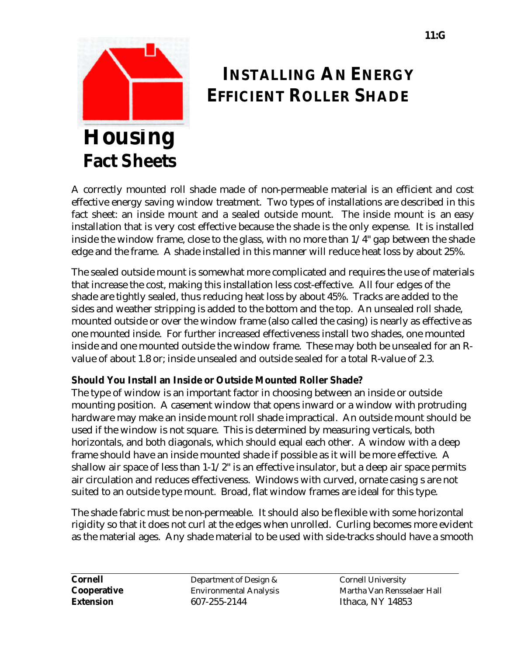

# **INSTALLING AN ENERGY EFFICIENT ROLLER SHADE**

A correctly mounted roll shade made of non-permeable material is an efficient and cost effective energy saving window treatment. Two types of installations are described in this fact sheet: an inside mount and a sealed outside mount. The inside mount is an easy installation that is very cost effective because the shade is the only expense. It is installed inside the window frame, close to the glass, with no more than 1/4" gap between the shade edge and the frame. A shade installed in this manner will reduce heat loss by about 25%.

The sealed outside mount is somewhat more complicated and requires the use of materials that increase the cost, making this installation less cost-effective. All four edges of the shade are tightly sealed, thus reducing heat loss by about 45%. Tracks are added to the sides and weather stripping is added to the bottom and the top. An unsealed roll shade, mounted outside or over the window frame (also called the casing) is nearly as effective as one mounted inside. For further increased effectiveness install two shades, one mounted inside and one mounted outside the window frame. These may both be unsealed for an Rvalue of about 1.8 or; inside unsealed and outside sealed for a total R-value of 2.3.

# **Should You Install an Inside or Outside Mounted Roller Shade?**

The type of window is an important factor in choosing between an inside or outside mounting position. A casement window that opens inward or a window with protruding hardware may make an inside mount roll shade impractical. An outside mount should be used if the window is not square. This is determined by measuring verticals, both horizontals, and both diagonals, which should equal each other. A window with a deep frame should have an inside mounted shade if possible as it will be more effective. A shallow air space of less than  $1-1/2$ " is an effective insulator, but a deep air space permits air circulation and reduces effectiveness. Windows with curved, ornate casing s are not suited to an outside type mount. Broad, flat window frames are ideal for this type.

The shade fabric must be non-permeable. It should also be flexible with some horizontal rigidity so that it does not curl at the edges when unrolled. Curling becomes more evident as the material ages. Any shade material to be used with side-tracks should have a smooth

**Cornell Cornell Department of Design & Cornell University Extension** 607-255-2144 Ithaca, NY 14853

**Cooperative Environmental Analysis** Martha Van Rensselaer Hall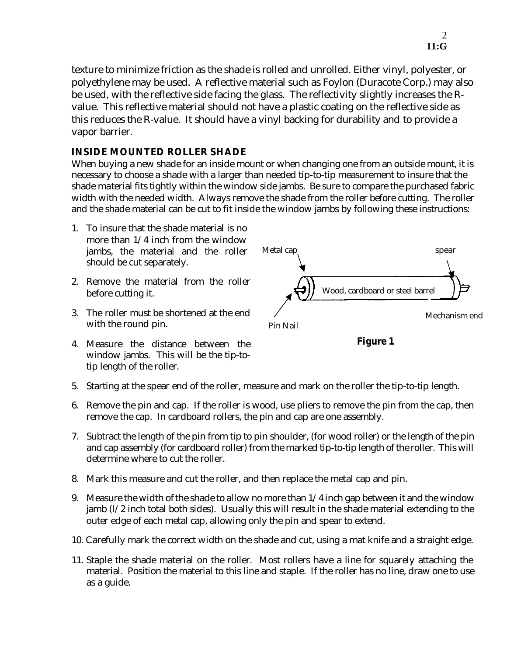texture to minimize friction as the shade is rolled and unrolled. Either vinyl, polyester, or polyethylene may be used. A reflective material such as Foylon (Duracote Corp.) may also be used, with the reflective side facing the glass. The reflectivity slightly increases the Rvalue. This reflective material should not have a plastic coating on the reflective side as this reduces the R-value. It should have a vinyl backing for durability and to provide a vapor barrier.

#### **INSIDE MOUNTED ROLLER SHADE**

When buying a new shade for an inside mount or when changing one from an outside mount, it is necessary to choose a shade with a larger than needed tip-to-tip measurement to insure that the shade material fits tightly within the window side jambs. Be sure to compare the purchased fabric width with the needed width. Always remove the shade from the roller before cutting. The roller and the shade material can be cut to fit inside the window jambs by following these instructions:





- 4. Measure the distance between the window jambs. This will be the tip-totip length of the roller.
- 5. Starting at the spear end of the roller, measure and mark on the roller the tip-to-tip length.
- 6. Remove the pin and cap. If the roller is wood, use pliers to remove the pin from the cap, then remove the cap. In cardboard rollers, the pin and cap are one assembly.
- 7. Subtract the length of the pin from tip to pin shoulder, (for wood roller) or the length of the pin and cap assembly (for cardboard roller) from the marked tip-to-tip length of the roller. This will determine where to cut the roller.
- 8. Mark this measure and cut the roller, and then replace the metal cap and pin.
- 9. Measure the width of the shade to allow no more than 1/4 inch gap between it and the window  $jamb$  ( $l/2$  inch total both sides). Usually this will result in the shade material extending to the outer edge of each metal cap, allowing only the pin and spear to extend.
- 10. Carefully mark the correct width on the shade and cut, using a mat knife and a straight edge.
- 11. Staple the shade material on the roller. Most rollers have a line for squarely attaching the material. Position the material to this line and staple. If the roller has no line, draw one to use as a guide.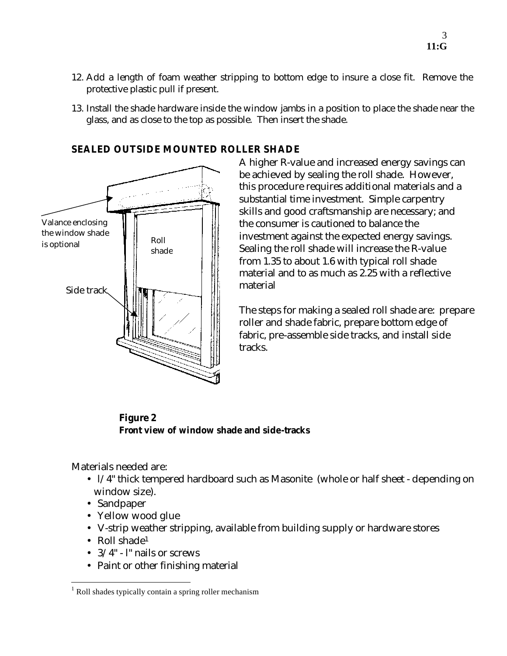- 12. Add a length of foam weather stripping to bottom edge to insure a close fit. Remove the protective plastic pull if present.
- 13. Install the shade hardware inside the window jambs in a position to place the shade near the glass, and as close to the top as possible. Then insert the shade.



#### **SEALED OUTSIDE MOUNTED ROLLER SHADE**

A higher R-value and increased energy savings can be achieved by sealing the roll shade. However, this procedure requires additional materials and a substantial time investment. Simple carpentry skills and good craftsmanship are necessary; and the consumer is cautioned to balance the investment against the expected energy savings. Sealing the roll shade will increase the R-value from 1.35 to about 1.6 with typical roll shade material and to as much as 2.25 with a reflective material

The steps for making a sealed roll shade are: prepare roller and shade fabric, prepare bottom edge of fabric, pre-assemble side tracks, and install side tracks.

**Figure 2 Front view of window shade and side-tracks**

Materials needed are:

- 1/4" thick tempered hardboard such as Masonite (whole or half sheet depending on window size).
- Sandpaper
- Yellow wood glue
- V-strip weather stripping, available from building supply or hardware stores
- Roll shade<sup>1</sup>
- 3/4" l" nails or screws
- Paint or other finishing material

 $\overline{a}$ <sup>1</sup> Roll shades typically contain a spring roller mechanism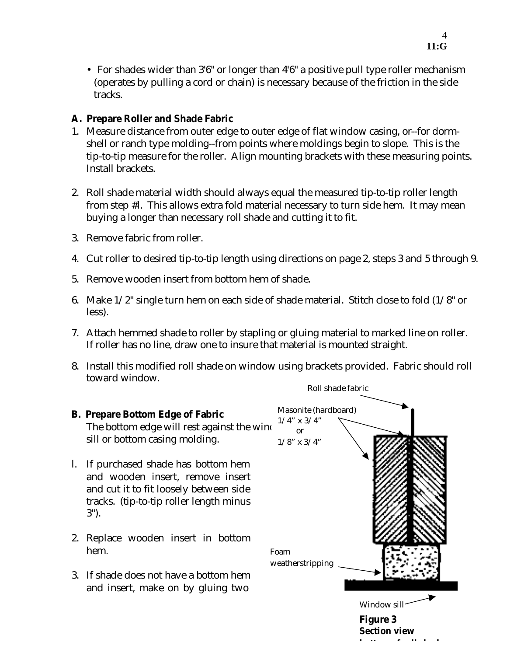**bottom of roll shade**

• For shades wider than 3'6" or longer than 4'6" a positive pull type roller mechanism (operates by pulling a cord or chain) is necessary because of the friction in the side tracks.

## **A. Prepare Roller and Shade Fabric**

- 1. Measure distance from outer edge to outer edge of flat window casing, or--for dormshell or ranch type molding--from points where moldings begin to slope. This is the tip-to-tip measure for the roller. Align mounting brackets with these measuring points. Install brackets.
- 2. Roll shade material width should always equal the measured tip-to-tip roller length from step #l. This allows extra fold material necessary to turn side hem. It may mean buying a longer than necessary roll shade and cutting it to fit.
- 3. Remove fabric from roller.
- 4. Cut roller to desired tip-to-tip length using directions on page 2, steps 3 and 5 through 9.
- 5. Remove wooden insert from bottom hem of shade.
- 6. Make 1/2" single turn hem on each side of shade material. Stitch close to fold (1/8" or less).
- 7. Attach hemmed shade to roller by stapling or gluing material to marked line on roller. If roller has no line, draw one to insure that material is mounted straight.
- 8. Install this modified roll shade on window using brackets provided. Fabric should roll toward window.

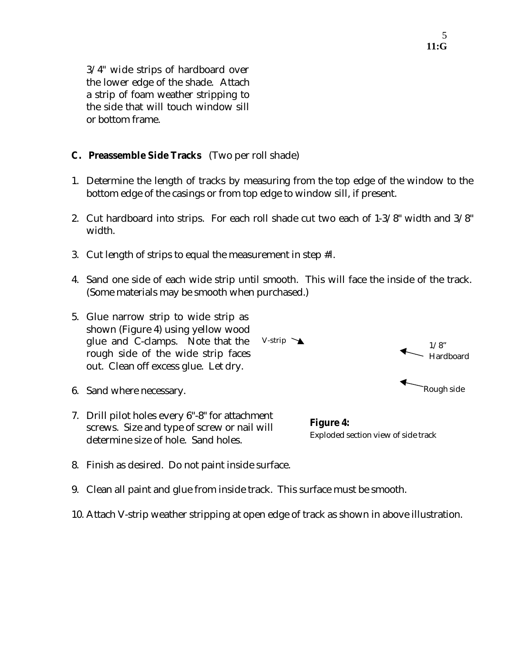3/4" wide strips of hardboard over the lower edge of the shade. Attach a strip of foam weather stripping to the side that will touch window sill or bottom frame.

## **C. Preassemble Side Tracks** (Two per roll shade)

- 1. Determine the length of tracks by measuring from the top edge of the window to the bottom edge of the casings or from top edge to window sill, if present.
- 2. Cut hardboard into strips. For each roll shade cut two each of 1-3/8" width and 3/8" width.
- 3. Cut length of strips to equal the measurement in step #l.
- 4. Sand one side of each wide strip until smooth. This will face the inside of the track. (Some materials may be smooth when purchased.)
- 5. Glue narrow strip to wide strip as shown (Figure 4) using yellow wood glue and C-clamps. Note that the rough side of the wide strip faces out. Clean off excess glue. Let dry.
- 6. Sand where necessary.
- 7. Drill pilot holes every 6"-8" for attachment screws. Size and type of screw or nail will determine size of hole. Sand holes.





- 8. Finish as desired. Do not paint inside surface.
- 9. Clean all paint and glue from inside track. This surface must be smooth.

10. Attach V-strip weather stripping at open edge of track as shown in above illustration.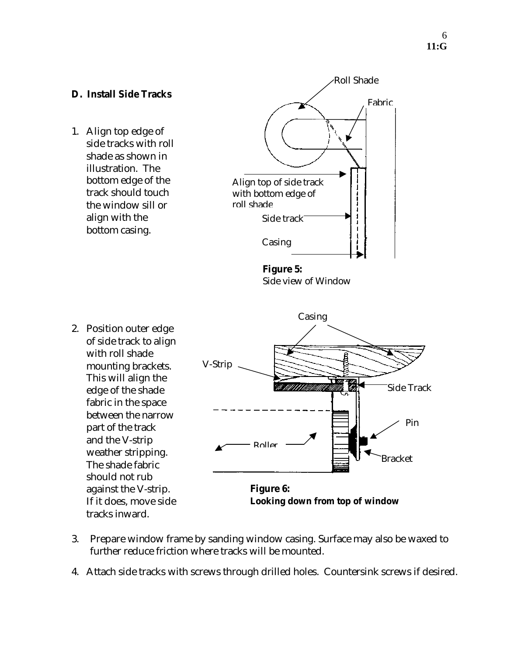#### **D. Install Side Tracks**

1. Align top edge of side tracks with roll shade as shown in illustration. The bottom edge of the track should touch the window sill or align with the bottom casing.





**Figure 6: Looking down from top of window**

- 3. Prepare window frame by sanding window casing. Surface may also be waxed to further reduce friction where tracks will be mounted.
- 4. Attach side tracks with screws through drilled holes. Countersink screws if desired.